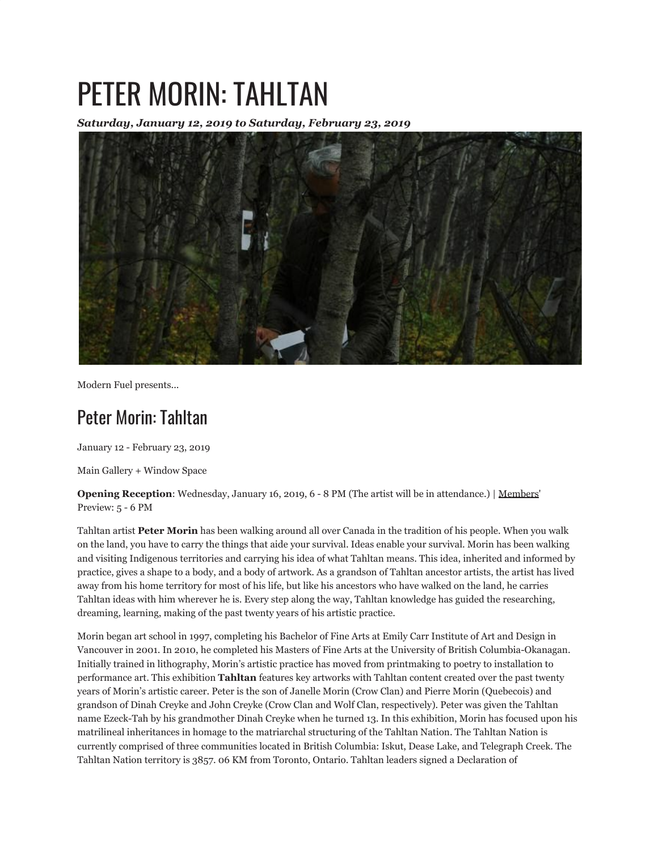## PETER MORIN: TAHLTAN

*Saturday, January 12, 2019 to Saturday, February 23, 2019*



Modern Fuel presents...

## Peter Morin: Tahltan

January 12 - February 23, 2019

Main Gallery + Window Space

**Opening Reception**: Wednesday, January 16, 2019, 6 - 8 PM (The artist will be in attendance.) | Members' Preview: 5 - 6 PM

Tahltan artist **Peter Morin** has been walking around all over Canada in the tradition of his people. When you walk on the land, you have to carry the things that aide your survival. Ideas enable your survival. Morin has been walking and visiting Indigenous territories and carrying his idea of what Tahltan means. This idea, inherited and informed by practice, gives a shape to a body, and a body of artwork. As a grandson of Tahltan ancestor artists, the artist has lived away from his home territory for most of his life, but like his ancestors who have walked on the land, he carries Tahltan ideas with him wherever he is. Every step along the way, Tahltan knowledge has guided the researching, dreaming, learning, making of the past twenty years of his artistic practice.

Morin began art school in 1997, completing his Bachelor of Fine Arts at Emily Carr Institute of Art and Design in Vancouver in 2001. In 2010, he completed his Masters of Fine Arts at the University of British Columbia-Okanagan. Initially trained in lithography, Morin's artistic practice has moved from printmaking to poetry to installation to performance art. This exhibition **Tahltan** features key artworks with Tahltan content created over the past twenty years of Morin's artistic career. Peter is the son of Janelle Morin (Crow Clan) and Pierre Morin (Quebecois) and grandson of Dinah Creyke and John Creyke (Crow Clan and Wolf Clan, respectively). Peter was given the Tahltan name Ezeck-Tah by his grandmother Dinah Creyke when he turned 13. In this exhibition, Morin has focused upon his matrilineal inheritances in homage to the matriarchal structuring of the Tahltan Nation. The Tahltan Nation is currently comprised of three communities located in British Columbia: Iskut, Dease Lake, and Telegraph Creek. The Tahltan Nation territory is 3857. 06 KM from Toronto, Ontario. Tahltan leaders signed a Declaration of